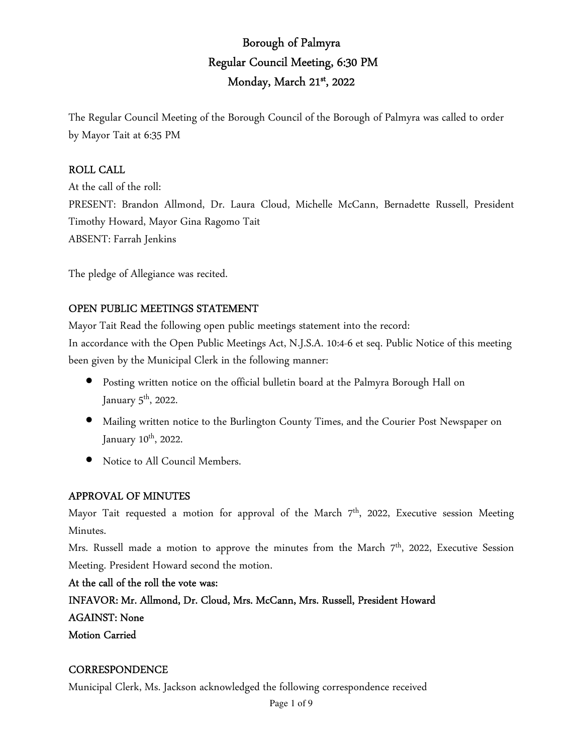# Borough of Palmyra Regular Council Meeting, 6:30 PM Monday, March 21<sup>st</sup>, 2022

The Regular Council Meeting of the Borough Council of the Borough of Palmyra was called to order by Mayor Tait at 6:35 PM

#### ROLL CALL

At the call of the roll: PRESENT: Brandon Allmond, Dr. Laura Cloud, Michelle McCann, Bernadette Russell, President Timothy Howard, Mayor Gina Ragomo Tait ABSENT: Farrah Jenkins

The pledge of Allegiance was recited.

## OPEN PUBLIC MEETINGS STATEMENT

Mayor Tait Read the following open public meetings statement into the record:

In accordance with the Open Public Meetings Act, N.J.S.A. 10:4-6 et seq. Public Notice of this meeting been given by the Municipal Clerk in the following manner:

- Posting written notice on the official bulletin board at the Palmyra Borough Hall on January  $5<sup>th</sup>$ , 2022.
- Mailing written notice to the Burlington County Times, and the Courier Post Newspaper on January 10<sup>th</sup>, 2022.
- Notice to All Council Members.

## APPROVAL OF MINUTES

Mayor Tait requested a motion for approval of the March  $7<sup>th</sup>$ , 2022, Executive session Meeting Minutes.

Mrs. Russell made a motion to approve the minutes from the March 7<sup>th</sup>, 2022, Executive Session Meeting. President Howard second the motion.

At the call of the roll the vote was: INFAVOR: Mr. Allmond, Dr. Cloud, Mrs. McCann, Mrs. Russell, President Howard AGAINST: None Motion Carried

#### **CORRESPONDENCE**

Municipal Clerk, Ms. Jackson acknowledged the following correspondence received

Page 1 of 9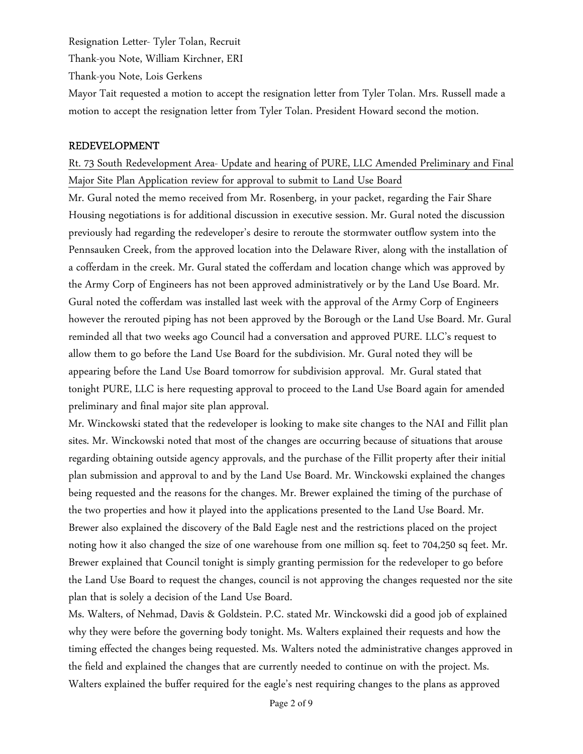Resignation Letter- Tyler Tolan, Recruit

Thank-you Note, William Kirchner, ERI

Thank-you Note, Lois Gerkens

Mayor Tait requested a motion to accept the resignation letter from Tyler Tolan. Mrs. Russell made a motion to accept the resignation letter from Tyler Tolan. President Howard second the motion.

#### REDEVELOPMENT

# Rt. 73 South Redevelopment Area- Update and hearing of PURE, LLC Amended Preliminary and Final Major Site Plan Application review for approval to submit to Land Use Board

Mr. Gural noted the memo received from Mr. Rosenberg, in your packet, regarding the Fair Share Housing negotiations is for additional discussion in executive session. Mr. Gural noted the discussion previously had regarding the redeveloper's desire to reroute the stormwater outflow system into the Pennsauken Creek, from the approved location into the Delaware River, along with the installation of a cofferdam in the creek. Mr. Gural stated the cofferdam and location change which was approved by the Army Corp of Engineers has not been approved administratively or by the Land Use Board. Mr. Gural noted the cofferdam was installed last week with the approval of the Army Corp of Engineers however the rerouted piping has not been approved by the Borough or the Land Use Board. Mr. Gural reminded all that two weeks ago Council had a conversation and approved PURE. LLC's request to allow them to go before the Land Use Board for the subdivision. Mr. Gural noted they will be appearing before the Land Use Board tomorrow for subdivision approval. Mr. Gural stated that tonight PURE, LLC is here requesting approval to proceed to the Land Use Board again for amended preliminary and final major site plan approval.

Mr. Winckowski stated that the redeveloper is looking to make site changes to the NAI and Fillit plan sites. Mr. Winckowski noted that most of the changes are occurring because of situations that arouse regarding obtaining outside agency approvals, and the purchase of the Fillit property after their initial plan submission and approval to and by the Land Use Board. Mr. Winckowski explained the changes being requested and the reasons for the changes. Mr. Brewer explained the timing of the purchase of the two properties and how it played into the applications presented to the Land Use Board. Mr. Brewer also explained the discovery of the Bald Eagle nest and the restrictions placed on the project noting how it also changed the size of one warehouse from one million sq. feet to 704,250 sq feet. Mr. Brewer explained that Council tonight is simply granting permission for the redeveloper to go before the Land Use Board to request the changes, council is not approving the changes requested nor the site plan that is solely a decision of the Land Use Board.

Ms. Walters, of Nehmad, Davis & Goldstein. P.C. stated Mr. Winckowski did a good job of explained why they were before the governing body tonight. Ms. Walters explained their requests and how the timing effected the changes being requested. Ms. Walters noted the administrative changes approved in the field and explained the changes that are currently needed to continue on with the project. Ms. Walters explained the buffer required for the eagle's nest requiring changes to the plans as approved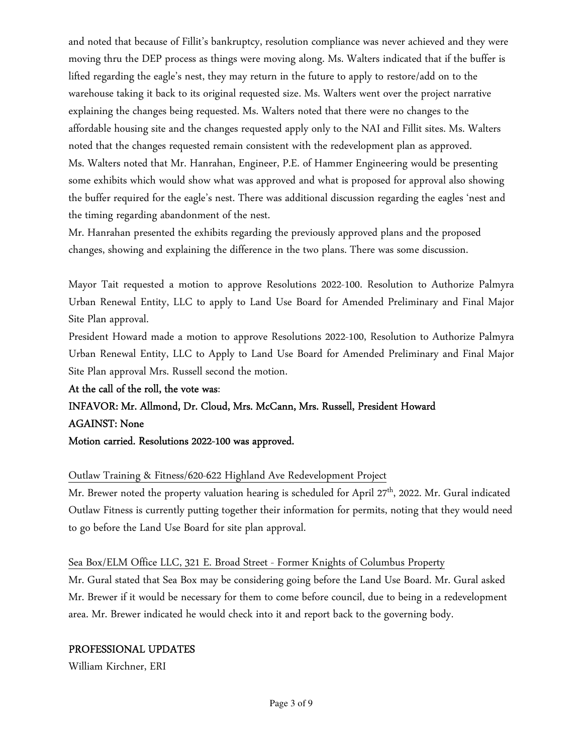and noted that because of Fillit's bankruptcy, resolution compliance was never achieved and they were moving thru the DEP process as things were moving along. Ms. Walters indicated that if the buffer is lifted regarding the eagle's nest, they may return in the future to apply to restore/add on to the warehouse taking it back to its original requested size. Ms. Walters went over the project narrative explaining the changes being requested. Ms. Walters noted that there were no changes to the affordable housing site and the changes requested apply only to the NAI and Fillit sites. Ms. Walters noted that the changes requested remain consistent with the redevelopment plan as approved. Ms. Walters noted that Mr. Hanrahan, Engineer, P.E. of Hammer Engineering would be presenting some exhibits which would show what was approved and what is proposed for approval also showing the buffer required for the eagle's nest. There was additional discussion regarding the eagles 'nest and the timing regarding abandonment of the nest.

Mr. Hanrahan presented the exhibits regarding the previously approved plans and the proposed changes, showing and explaining the difference in the two plans. There was some discussion.

Mayor Tait requested a motion to approve Resolutions 2022-100. Resolution to Authorize Palmyra Urban Renewal Entity, LLC to apply to Land Use Board for Amended Preliminary and Final Major Site Plan approval.

President Howard made a motion to approve Resolutions 2022-100, Resolution to Authorize Palmyra Urban Renewal Entity, LLC to Apply to Land Use Board for Amended Preliminary and Final Major Site Plan approval Mrs. Russell second the motion.

## At the call of the roll, the vote was:

# INFAVOR: Mr. Allmond, Dr. Cloud, Mrs. McCann, Mrs. Russell, President Howard AGAINST: None

#### Motion carried. Resolutions 2022-100 was approved.

## Outlaw Training & Fitness/620-622 Highland Ave Redevelopment Project

Mr. Brewer noted the property valuation hearing is scheduled for April 27<sup>th</sup>, 2022. Mr. Gural indicated Outlaw Fitness is currently putting together their information for permits, noting that they would need to go before the Land Use Board for site plan approval.

#### Sea Box/ELM Office LLC, 321 E. Broad Street - Former Knights of Columbus Property

Mr. Gural stated that Sea Box may be considering going before the Land Use Board. Mr. Gural asked Mr. Brewer if it would be necessary for them to come before council, due to being in a redevelopment area. Mr. Brewer indicated he would check into it and report back to the governing body.

#### PROFESSIONAL UPDATES

William Kirchner, ERI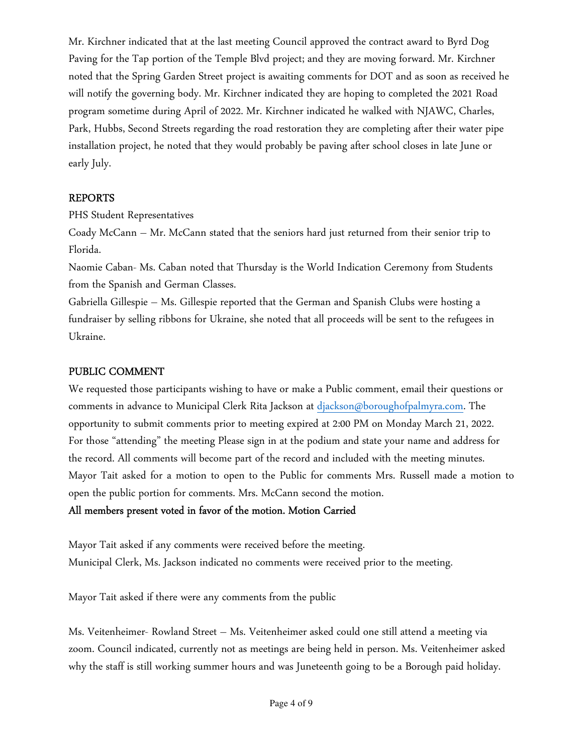Mr. Kirchner indicated that at the last meeting Council approved the contract award to Byrd Dog Paving for the Tap portion of the Temple Blvd project; and they are moving forward. Mr. Kirchner noted that the Spring Garden Street project is awaiting comments for DOT and as soon as received he will notify the governing body. Mr. Kirchner indicated they are hoping to completed the 2021 Road program sometime during April of 2022. Mr. Kirchner indicated he walked with NJAWC, Charles, Park, Hubbs, Second Streets regarding the road restoration they are completing after their water pipe installation project, he noted that they would probably be paving after school closes in late June or early July.

## REPORTS

PHS Student Representatives

Coady McCann – Mr. McCann stated that the seniors hard just returned from their senior trip to Florida.

Naomie Caban- Ms. Caban noted that Thursday is the World Indication Ceremony from Students from the Spanish and German Classes.

Gabriella Gillespie – Ms. Gillespie reported that the German and Spanish Clubs were hosting a fundraiser by selling ribbons for Ukraine, she noted that all proceeds will be sent to the refugees in Ukraine.

## PUBLIC COMMENT

We requested those participants wishing to have or make a Public comment, email their questions or comments in advance to Municipal Clerk Rita Jackson at djackson@boroughofpalmyra.com. The opportunity to submit comments prior to meeting expired at 2:00 PM on Monday March 21, 2022. For those "attending" the meeting Please sign in at the podium and state your name and address for the record. All comments will become part of the record and included with the meeting minutes. Mayor Tait asked for a motion to open to the Public for comments Mrs. Russell made a motion to open the public portion for comments. Mrs. McCann second the motion.

## All members present voted in favor of the motion. Motion Carried

Mayor Tait asked if any comments were received before the meeting. Municipal Clerk, Ms. Jackson indicated no comments were received prior to the meeting.

Mayor Tait asked if there were any comments from the public

Ms. Veitenheimer- Rowland Street – Ms. Veitenheimer asked could one still attend a meeting via zoom. Council indicated, currently not as meetings are being held in person. Ms. Veitenheimer asked why the staff is still working summer hours and was Juneteenth going to be a Borough paid holiday.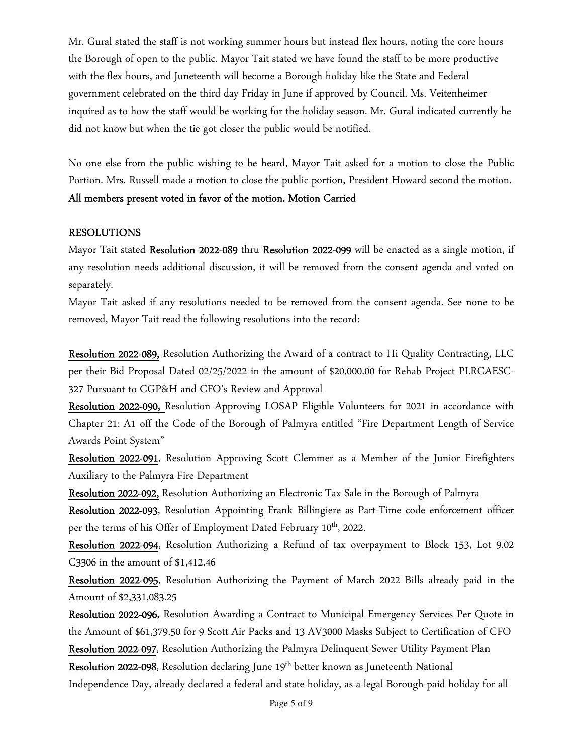Mr. Gural stated the staff is not working summer hours but instead flex hours, noting the core hours the Borough of open to the public. Mayor Tait stated we have found the staff to be more productive with the flex hours, and Juneteenth will become a Borough holiday like the State and Federal government celebrated on the third day Friday in June if approved by Council. Ms. Veitenheimer inquired as to how the staff would be working for the holiday season. Mr. Gural indicated currently he did not know but when the tie got closer the public would be notified.

No one else from the public wishing to be heard, Mayor Tait asked for a motion to close the Public Portion. Mrs. Russell made a motion to close the public portion, President Howard second the motion. All members present voted in favor of the motion. Motion Carried

#### RESOLUTIONS

Mayor Tait stated Resolution 2022-089 thru Resolution 2022-099 will be enacted as a single motion, if any resolution needs additional discussion, it will be removed from the consent agenda and voted on separately.

Mayor Tait asked if any resolutions needed to be removed from the consent agenda. See none to be removed, Mayor Tait read the following resolutions into the record:

Resolution 2022-089, Resolution Authorizing the Award of a contract to Hi Quality Contracting, LLC per their Bid Proposal Dated 02/25/2022 in the amount of \$20,000.00 for Rehab Project PLRCAESC-327 Pursuant to CGP&H and CFO's Review and Approval

Resolution 2022-090, Resolution Approving LOSAP Eligible Volunteers for 2021 in accordance with Chapter 21: A1 off the Code of the Borough of Palmyra entitled "Fire Department Length of Service Awards Point System"

Resolution 2022-091, Resolution Approving Scott Clemmer as a Member of the Junior Firefighters Auxiliary to the Palmyra Fire Department

Resolution 2022-092, Resolution Authorizing an Electronic Tax Sale in the Borough of Palmyra

Resolution 2022-093, Resolution Appointing Frank Billingiere as Part-Time code enforcement officer per the terms of his Offer of Employment Dated February 10<sup>th</sup>, 2022.

Resolution 2022-094, Resolution Authorizing a Refund of tax overpayment to Block 153, Lot 9.02 C3306 in the amount of \$1,412.46

Resolution 2022-095, Resolution Authorizing the Payment of March 2022 Bills already paid in the Amount of \$2,331,083.25

Resolution 2022-096, Resolution Awarding a Contract to Municipal Emergency Services Per Quote in the Amount of \$61,379.50 for 9 Scott Air Packs and 13 AV3000 Masks Subject to Certification of CFO

Resolution 2022-097, Resolution Authorizing the Palmyra Delinquent Sewer Utility Payment Plan

Resolution 2022-098, Resolution declaring June 19<sup>th</sup> better known as Juneteenth National Independence Day, already declared a federal and state holiday, as a legal Borough-paid holiday for all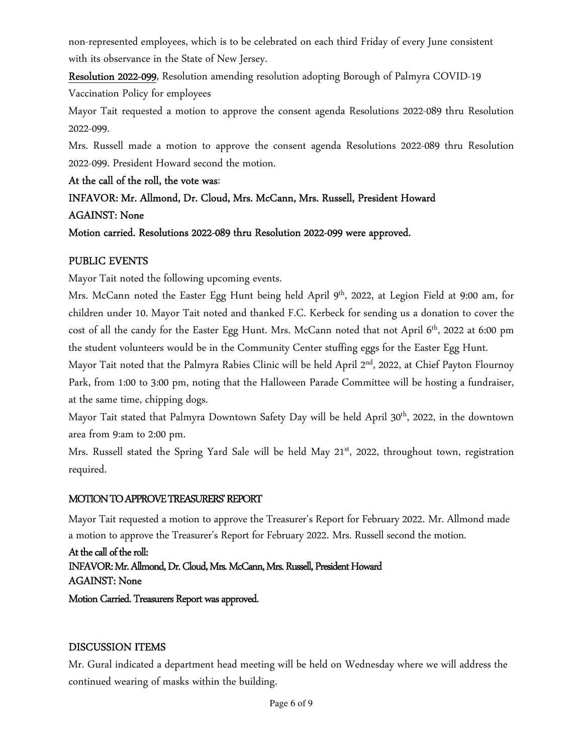non-represented employees, which is to be celebrated on each third Friday of every June consistent with its observance in the State of New Jersey.

Resolution 2022-099, Resolution amending resolution adopting Borough of Palmyra COVID-19

Vaccination Policy for employees

Mayor Tait requested a motion to approve the consent agenda Resolutions 2022-089 thru Resolution 2022-099.

Mrs. Russell made a motion to approve the consent agenda Resolutions 2022-089 thru Resolution 2022-099. President Howard second the motion.

At the call of the roll, the vote was:

INFAVOR: Mr. Allmond, Dr. Cloud, Mrs. McCann, Mrs. Russell, President Howard AGAINST: None

Motion carried. Resolutions 2022-089 thru Resolution 2022-099 were approved.

# PUBLIC EVENTS

Mayor Tait noted the following upcoming events.

Mrs. McCann noted the Easter Egg Hunt being held April 9<sup>th</sup>, 2022, at Legion Field at 9:00 am, for children under 10. Mayor Tait noted and thanked F.C. Kerbeck for sending us a donation to cover the cost of all the candy for the Easter Egg Hunt. Mrs. McCann noted that not April 6<sup>th</sup>, 2022 at 6:00 pm the student volunteers would be in the Community Center stuffing eggs for the Easter Egg Hunt.

Mayor Tait noted that the Palmyra Rabies Clinic will be held April 2<sup>nd</sup>, 2022, at Chief Payton Flournoy Park, from 1:00 to 3:00 pm, noting that the Halloween Parade Committee will be hosting a fundraiser, at the same time, chipping dogs.

Mayor Tait stated that Palmyra Downtown Safety Day will be held April 30<sup>th</sup>, 2022, in the downtown area from 9:am to 2:00 pm.

Mrs. Russell stated the Spring Yard Sale will be held May 21<sup>st</sup>, 2022, throughout town, registration required.

# MOTION TO APPROVE TREASURERS' REPORT

Mayor Tait requested a motion to approve the Treasurer's Report for February 2022. Mr. Allmond made a motion to approve the Treasurer's Report for February 2022. Mrs. Russell second the motion.

At the call of the roll: INFAVOR: Mr. Allmond, Dr. Cloud, Mrs. McCann, Mrs. Russell, President Howard AGAINST: None

Motion Carried. Treasurers Report was approved.

# DISCUSSION ITEMS

Mr. Gural indicated a department head meeting will be held on Wednesday where we will address the continued wearing of masks within the building.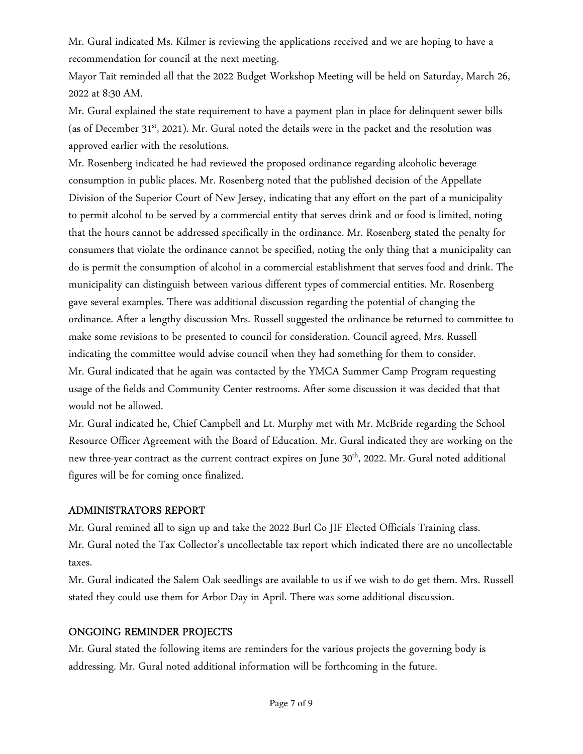Mr. Gural indicated Ms. Kilmer is reviewing the applications received and we are hoping to have a recommendation for council at the next meeting.

Mayor Tait reminded all that the 2022 Budget Workshop Meeting will be held on Saturday, March 26, 2022 at 8:30 AM.

Mr. Gural explained the state requirement to have a payment plan in place for delinquent sewer bills (as of December  $31<sup>st</sup>$ , 2021). Mr. Gural noted the details were in the packet and the resolution was approved earlier with the resolutions.

Mr. Rosenberg indicated he had reviewed the proposed ordinance regarding alcoholic beverage consumption in public places. Mr. Rosenberg noted that the published decision of the Appellate Division of the Superior Court of New Jersey, indicating that any effort on the part of a municipality to permit alcohol to be served by a commercial entity that serves drink and or food is limited, noting that the hours cannot be addressed specifically in the ordinance. Mr. Rosenberg stated the penalty for consumers that violate the ordinance cannot be specified, noting the only thing that a municipality can do is permit the consumption of alcohol in a commercial establishment that serves food and drink. The municipality can distinguish between various different types of commercial entities. Mr. Rosenberg gave several examples. There was additional discussion regarding the potential of changing the ordinance. After a lengthy discussion Mrs. Russell suggested the ordinance be returned to committee to make some revisions to be presented to council for consideration. Council agreed, Mrs. Russell indicating the committee would advise council when they had something for them to consider. Mr. Gural indicated that he again was contacted by the YMCA Summer Camp Program requesting usage of the fields and Community Center restrooms. After some discussion it was decided that that would not be allowed.

Mr. Gural indicated he, Chief Campbell and Lt. Murphy met with Mr. McBride regarding the School Resource Officer Agreement with the Board of Education. Mr. Gural indicated they are working on the new three-year contract as the current contract expires on June 30<sup>th</sup>, 2022. Mr. Gural noted additional figures will be for coming once finalized.

#### ADMINISTRATORS REPORT

Mr. Gural remined all to sign up and take the 2022 Burl Co JIF Elected Officials Training class. Mr. Gural noted the Tax Collector's uncollectable tax report which indicated there are no uncollectable taxes.

Mr. Gural indicated the Salem Oak seedlings are available to us if we wish to do get them. Mrs. Russell stated they could use them for Arbor Day in April. There was some additional discussion.

## ONGOING REMINDER PROJECTS

Mr. Gural stated the following items are reminders for the various projects the governing body is addressing. Mr. Gural noted additional information will be forthcoming in the future.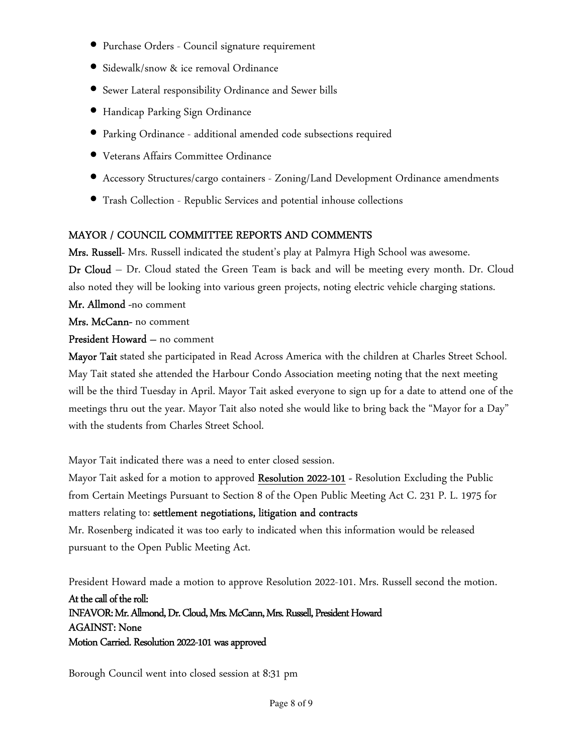- Purchase Orders Council signature requirement
- Sidewalk/snow & ice removal Ordinance
- Sewer Lateral responsibility Ordinance and Sewer bills
- Handicap Parking Sign Ordinance
- Parking Ordinance additional amended code subsections required
- Veterans Affairs Committee Ordinance
- Accessory Structures/cargo containers Zoning/Land Development Ordinance amendments
- Trash Collection Republic Services and potential inhouse collections

# MAYOR / COUNCIL COMMITTEE REPORTS AND COMMENTS

Mrs. Russell- Mrs. Russell indicated the student's play at Palmyra High School was awesome. Dr Cloud – Dr. Cloud stated the Green Team is back and will be meeting every month. Dr. Cloud also noted they will be looking into various green projects, noting electric vehicle charging stations. Mr. Allmond -no comment

Mrs. McCann- no comment

# President Howard – no comment

Mayor Tait stated she participated in Read Across America with the children at Charles Street School. May Tait stated she attended the Harbour Condo Association meeting noting that the next meeting will be the third Tuesday in April. Mayor Tait asked everyone to sign up for a date to attend one of the meetings thru out the year. Mayor Tait also noted she would like to bring back the "Mayor for a Day" with the students from Charles Street School.

Mayor Tait indicated there was a need to enter closed session.

Mayor Tait asked for a motion to approved Resolution 2022-101 - Resolution Excluding the Public from Certain Meetings Pursuant to Section 8 of the Open Public Meeting Act C. 231 P. L. 1975 for matters relating to: settlement negotiations, litigation and contracts Mr. Rosenberg indicated it was too early to indicated when this information would be released

pursuant to the Open Public Meeting Act.

President Howard made a motion to approve Resolution 2022-101. Mrs. Russell second the motion. At the call of the roll: INFAVOR: Mr. Allmond, Dr. Cloud, Mrs. McCann, Mrs. Russell, President Howard AGAINST: None Motion Carried. Resolution 2022-101 was approved

Borough Council went into closed session at 8:31 pm